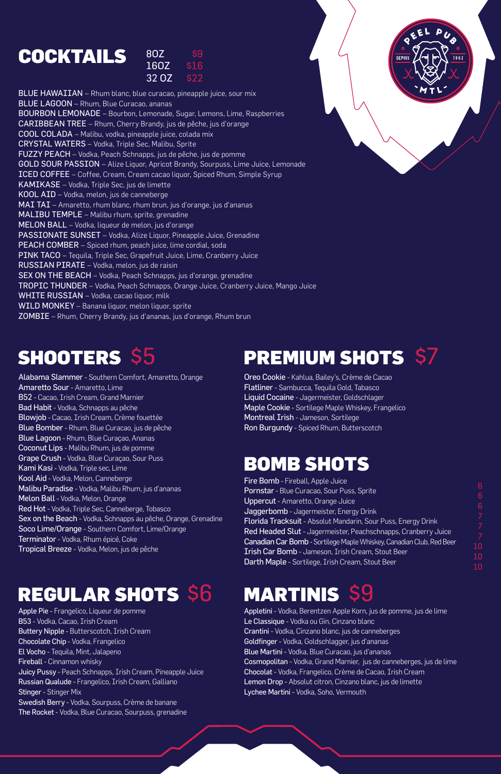### **COCKTAILS** 16OZ

| 80Z   | <b>S9</b> |
|-------|-----------|
| 160Z  | S16       |
| 32 OZ | S77       |

BLUE HAWAIIAN - Rhum blanc, blue curacao, pineapple juice, sour mix BLUE LAGOON – Rhum, Blue Curacao, ananas BOURBON LEMONADE – Bourbon, Lemonade, Sugar, Lemons, Lime, Raspberries CARIBBEAN TREE – Rhum, Cherry Brandy, jus de pêche, jus d'orange COOL COLADA – Malibu, vodka, pineapple juice, colada mix CRYSTAL WATERS – Vodka, Triple Sec, Malibu, Sprite FUZZY PEACH – Vodka, Peach Schnapps, jus de pêche, jus de pomme GOLD SOUR PASSION – Alize Liquor, Apricot Brandy, Sourpuss, Lime Juice, Lemonade ICED COFFEE – Coffee, Cream, Cream cacao liquor, Spiced Rhum, Simple Syrup KAMIKASE – Vodka, Triple Sec, jus de limette KOOL AID – Vodka, melon, jus de canneberge MAI TAI – Amaretto, rhum blanc, rhum brun, jus d'orange, jus d'ananas MALIBU TEMPLE - Malibu rhum, sprite, grenadine MELON BALL – Vodka, liqueur de melon, jus d'orange PASSIONATE SUNSET - Vodka, Alize Liquor, Pineapple Juice, Grenadine PEACH COMBER – Spiced rhum, peach juice, lime cordial, soda PINK TACO – Tequila, Triple Sec, Grapefruit Juice, Lime, Cranberry Juice RUSSIAN PIRATE – Vodka, melon, jus de raisin SEX ON THE BEACH – Vodka, Peach Schnapps, jus d'orange, grenadine TROPIC THUNDER – Vodka, Peach Schnapps, Orange Juice, Cranberry Juice, Mango Juice WHITE RUSSIAN - Vodka, cacao liquor, milk WILD MONKEY – Banana liquor, melon liquor, sprite ZOMBIE – Rhum, Cherry Brandy, jus d'ananas, jus d'orange, Rhum brun

## SHOOTERS \$5

Alabama Slammer- Southern Comfort, Amaretto, Orange Amaretto Sour- Amaretto, Lime B52 - Cacao, Irish Cream, Grand Marnier Bad Habit - Vodka, Schnapps au pêche Blowjob - Cacao, Irish Cream, Crème fouettée Blue Bomber - Rhum, Blue Curacao, jus de pêche Blue Lagoon - Rhum, Blue Curaçao, Ananas Coconut Lips - Malibu Rhum, jus de pomme Grape Crush - Vodka, Blue Curaçao, Sour Puss Kami Kasi - Vodka, Triple sec, Lime Kool Aid - Vodka, Melon, Canneberge Malibu Paradise - Vodka, Malibu Rhum, jus d'ananas Melon Ball - Vodka, Melon, Orange Red Hot - Vodka, Triple Sec, Canneberge, Tobasco Sex on the Beach - Vodka, Schnapps au pêche, Orange, Grenadine Soco Lime/Orange - Southern Comfort, Lime/Orange Terminator- Vodka, Rhum épicé, Coke Tropical Breeze - Vodka, Melon, jus de pêche

Apple Pie - Frangelico, Liqueur de pomme B53 - Vodka, Cacao, Irish Cream Buttery Nipple - Butterscotch, Irish Cream Chocolate Chip - Vodka, Frangelico El Vocho - Tequila, Mint, Jalapeno Fireball - Cinnamon whisky Juicy Pussy - Peach Schnapps, Irish Cream, Pineapple Juice Russian Qualude - Frangelico, Irish Cream, Galliano Stinger - Stinger Mix Swedish Berry - Vodka, Sourpuss, Crème de banane The Rocket - Vodka, Blue Curacao, Sourpuss, grenadine

Oreo Cookie - Kahlua, Bailey's, Crème de Cacao Flatliner- Sambucca, Tequila Gold, Tabasco Liquid Cocaine - Jagermeister, Goldschlager Maple Cookie - Sortilege Maple Whiskey, Frangelico Montreal Irish - Jameson, Sortilege Ron Burgundy - Spiced Rhum, Butterscotch

Fire Bomb - Fireball, Apple Juice Pornstar - Blue Curacao, Sour Puss, Sprite Uppercut - Amaretto, Orange Juice Jaggerbomb - Jagermeister, Energy Drink Florida Tracksuit - Absolut Mandarin, Sour Puss, Energy Drink Red Headed Slut - Jagermeister, Peachschnapps, Cranberry Juice Canadian Car Bomb- Sortilege Maple Whiskey, Canadian Club, Red Beer Irish Car Bomb - Jameson, Irish Cream, Stout Beer Darth Maple - Sortilege, Irish Cream, Stout Beer 10 10

Appletini - Vodka, Berentzen Apple Korn, jus de pomme, jus de lime Le Classique - Vodka ou Gin, Cinzano blanc Crantini - Vodka, Cinzano blanc, jus de canneberges Goldfinger - Vodka, Goldschlagger, jus d'ananas Blue Martini - Vodka, Blue Curacao, jus d'ananas Cosmopolitan - Vodka, Grand Marnier, jus de canneberges, jus de lime Chocolat - Vodka, Frangelico, Crème de Cacao, Irish Cream Lemon Drop - Absolut citron, Cinzano blanc, jus de limette Lychee Martini - Vodka, Soho, Vermouth

6 6 6

## PREMIUM SHOTS \$7

DEPUI

## MARTINIS \$9

## BOMB SHOTS

## REGULAR SHOTS \$6